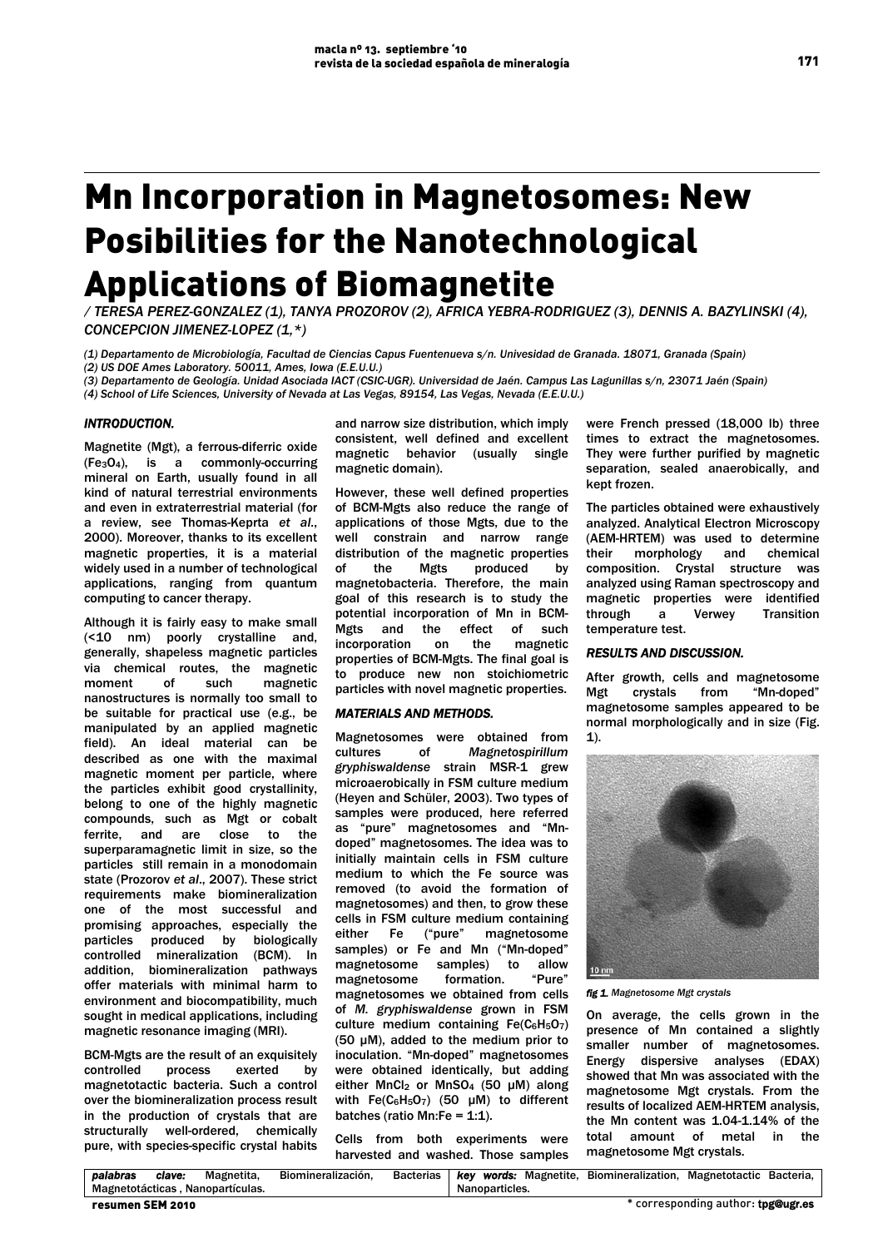# Mn Incorporation in Magnetosomes: New Posibilities for the Nanotechnological Applications of Biomagnetite

*/ TERESA PEREZ-GONZALEZ (1), TANYA PROZOROV (2), AFRICA YEBRA-RODRIGUEZ (3), DENNIS A. BAZYLINSKI (4), CONCEPCION JIMENEZ-LOPEZ (1,\*)* 

*(1) Departamento de Microbiología, Facultad de Ciencias Capus Fuentenueva s/n. Univesidad de Granada. 18071, Granada (Spain) (2) US DOE Ames Laboratory. 50011, Ames, Iowa (E.E.U.U.)* 

*(3) Departamento de Geología. Unidad Asociada IACT (CSIC-UGR). Universidad de Jaén. Campus Las Lagunillas s/n, 23071 Jaén (Spain) (4) School of Life Sciences, University of Nevada at Las Vegas, 89154, Las Vegas, Nevada (E.E.U.U.)* 

### *INTRODUCTION.*

Magnetite (Mgt), a ferrous-diferric oxide  $(Fe_3O_4)$ , is a commonly-occurring mineral on Earth, usually found in all kind of natural terrestrial environments and even in extraterrestrial material (for a review, see Thomas-Keprta *et al*., 2000). Moreover, thanks to its excellent magnetic properties, it is a material widely used in a number of technological applications, ranging from quantum computing to cancer therapy.

Although it is fairly easy to make small (<10 nm) poorly crystalline and, generally, shapeless magnetic particles via chemical routes, the magnetic moment of such magnetic nanostructures is normally too small to be suitable for practical use (e.g., be manipulated by an applied magnetic field). An ideal material can be described as one with the maximal magnetic moment per particle, where the particles exhibit good crystallinity, belong to one of the highly magnetic compounds, such as Mgt or cobalt ferrite, and are close to the superparamagnetic limit in size, so the particles still remain in a monodomain state (Prozorov *et al*., 2007). These strict requirements make biomineralization one of the most successful and promising approaches, especially the particles produced by biologically controlled mineralization (BCM). In addition, biomineralization pathways offer materials with minimal harm to environment and biocompatibility, much sought in medical applications, including magnetic resonance imaging (MRI).

BCM-Mgts are the result of an exquisitely controlled process exerted by magnetotactic bacteria. Such a control over the biomineralization process result in the production of crystals that are structurally well-ordered, chemically pure, with species-specific crystal habits and narrow size distribution, which imply consistent, well defined and excellent magnetic behavior (usually single magnetic domain).

However, these well defined properties of BCM-Mgts also reduce the range of applications of those Mgts, due to the well constrain and narrow range distribution of the magnetic properties of the Mgts produced by magnetobacteria. Therefore, the main goaI of this research is to study the potential incorporation of Mn in BCM-Mgts and the effect of such incorporation on the magnetic properties of BCM-Mgts. The final goal is to produce new non stoichiometric particles with novel magnetic properties.

## *MATERIALS AND METHODS.*

Magnetosomes were obtained from cultures of *Magnetospirillum gryphiswaldense* strain MSR-1 grew microaerobically in FSM culture medium (Heyen and Schüler, 2003). Two types of samples were produced, here referred as "pure" magnetosomes and "Mndoped" magnetosomes. The idea was to initially maintain cells in FSM culture medium to which the Fe source was removed (to avoid the formation of magnetosomes) and then, to grow these cells in FSM culture medium containing<br>either Fe ("pure" magnetosome either Fe ("pure" magnetosome samples) or Fe and Mn ("Mn-doped" magnetosome samples) to allow magnetosome formation. "Pure" magnetosomes we obtained from cells of *M. gryphiswaldense* grown in FSM culture medium containing  $Fe(C_6H_5O_7)$ (50 μM), added to the medium prior to inoculation. "Mn-doped" magnetosomes were obtained identically, but adding either MnCl<sub>2</sub> or MnSO<sub>4</sub> (50 μM) along with  $Fe(C_6H_5O_7)$  (50 µM) to different batches (ratio Mn:Fe =  $1:1$ ).

Cells from both experiments were harvested and washed. Those samples were French pressed (18,000 lb) three times to extract the magnetosomes. They were further purified by magnetic separation, sealed anaerobically, and kept frozen.

The particles obtained were exhaustively analyzed. Analytical Electron Microscopy (AEM-HRTEM) was used to determine their morphology and chemical composition. Crystal structure was analyzed using Raman spectroscopy and magnetic properties were identified through a Verwey Transition temperature test.

#### *RESULTS AND DISCUSSION.*

After growth, cells and magnetosome Mgt crystals from "Mn-doped" magnetosome samples appeared to be normal morphologically and in size (Fig. 1).



*fig 1. Magnetosome Mgt crystals* 

On average, the cells grown in the presence of Mn contained a slightly smaller number of magnetosomes. Energy dispersive analyses (EDAX) showed that Mn was associated with the magnetosome Mgt crystals. From the results of localized AEM-HRTEM analysis, the Mn content was 1.04-1.14% of the total amount of metal in the magnetosome Mgt crystals.

| palabras         | clave: | Magnetita.                       | Biomineralización. |  |  |                | Bacterias   key words: Magnetite, Biomineralization, Magnetotactic Bacteria, |                                    |  |
|------------------|--------|----------------------------------|--------------------|--|--|----------------|------------------------------------------------------------------------------|------------------------------------|--|
|                  |        | Magnetotácticas, Nanopartículas. |                    |  |  | Nanoparticles. |                                                                              |                                    |  |
| resumen SEM 2010 |        |                                  |                    |  |  |                |                                                                              | * corresponding author: tpg@ugr.es |  |